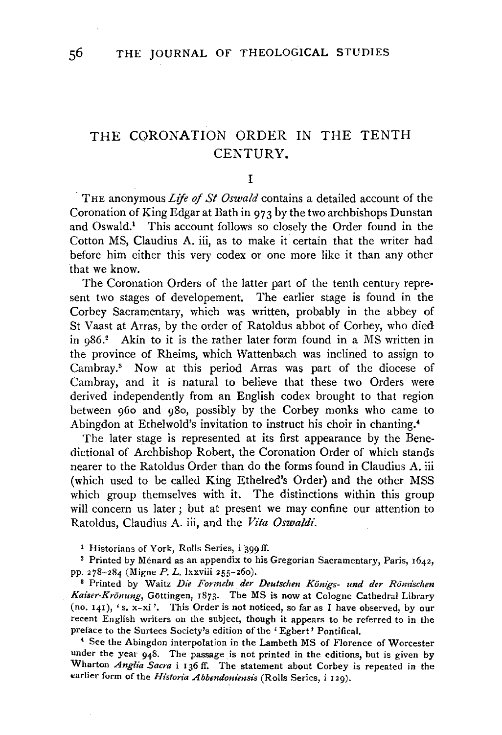# THE CORONATION ORDER IN THE TENTH CENTURY.

#### I

· THE anonymous *Life of St Oswald* contains a detailed account of the Coronation of King Edgar at Bath in 973 by the two archbishops Dunstan and Oswald.<sup>1</sup> This account follows so closely the Order found in the Cotton MS, Claudius A. iii, as to make it certain that the writer had before him either this very codex or one more like it than any other that we know.

The Coronation Orders of the latter part of the tenth century repre· sent two stages of developement. The earlier stage is found in the Corbey Sacramentary, which was written, probably in the abbey of St Vaast at Arras, by the order of Ratoldus abbot of Corbey, who died in 986.2 Akin to it is the rather later form found in a MS written in the province of Rheims, which Wattenbach was inclined to assign to Cambray.3 Now at this period Arras was part of the diocese of Cambray, and it is natural to believe that these two Orders were derived independently from an English codex brought to that region between 960 and 98o, possibly by the Corbey monks who came to Abingdon at Ethelwold's invitation to instruct his choir in chanting.•

The later stage is represented at its first appearance by the Benedictional of Archbishop Robert, the Coronation Order of which stands nearer to the Ratoldus Order than do the forms found in Claudius A. iii (which used to be called King Ethelred's Order) and the other MSS which group themselves with it. The distinctions within this group will concern us later ; but at present we may confine our attention to Ratoldus, Claudius A. iii, and the *Vita Oswaldi.* 

<sup>1</sup> Historians of York, Rolls Series, i 399 ff.

<sup>2</sup> Printed by Ménard as an appendix to his Gregorian Sacramentary, Paris, 1642, pp. 278-284 (Migne P. L. lxxviii 255-260). 3 Printed by Waitz *Die Formeln der Deulschen Konigs- und der Romischen* 

*Kaiser-Kronung,* Gattingen, 1873. The MS is now at Cologne Cathedral Library (no. 141), 's.  $x-xi'$ . This Order is not noticed, so far as I have observed, by our recent English writers on the subject, though it appears to be referred to in the preface to the Surtees Society's edition of the ' Egbert' Pontifical. 4 See the Abingdon interpolation in the Lambeth MS of Florence of Worcester

under the year  $948$ . The passage is not printed in the editions, but is given by Wharton *Anglia Sacra* i 136 ff. The statement about Corbey is repeated in the earlier form of the *Historia Abbendoniensis* (Rolls Series, i 129).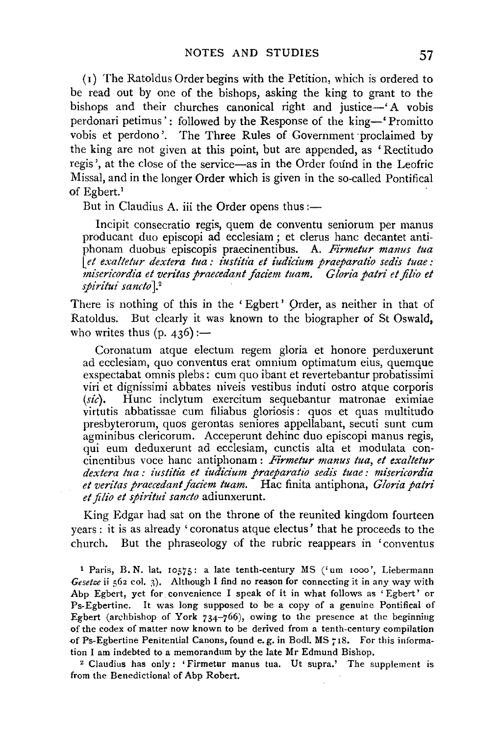(I) The Ratoldus Order begins with the Petition, which is ordered to be read out by one of the bishops, asking the king to grant to the bishops and their churches canonical right and justice-'A vobis perdonari petimus': followed by the Response of the king-' Promitto vobis et perdono'. The Three Rules of Government proclaimed by the king are not given at this point, but are appended, as 'Rectitudo regis', at the close of the service-as in the Order found in the Leofric Missal, and in the longer Order which is given in the so-called Pontifical of Egbert.<sup>1</sup>

But in Claudius A. iii the Order opens thus :-

Incipit consecratio regis, quem de conventu seniorum per manus producant duo episcopi ad ecclesiam; et clerus hanc decantet antiphonam duobus episcopis praecinentibus. A. *Firmelur manus tua*   $\lceil$ et exaltetur dextera tua: iustitia et iudicium praeparatio sedis tuae: *misericordia et veritas praecedant faciem tuam. Gloria patn" et ji/z"o et spiritui sancto*].<sup>2</sup>

There is nothing of this in the 'Egbert' Order, as neither in that of Ratoldus. But clearly it was known to the biographer of St Oswald, who writes thus  $(p. 436)$ :-

Coronatum atque electum regem gloria et honore perduxerunt ad ecclesiam, quo conventus erat omnium optimatum eius, quemque exspectabat omnis plebs: cum quo ibant et revertebantur probatissimi viri et dignissimi abbates niveis vestibus induti ostro atque corporis (sic). Hunc inclytum exercitum sequebantur matronae eximiae virtutis abbatissae cum filiabus gloriosis : quos et quas multitudo presbyterorum, quos gerontas seniores appellabant, secuti sunt cum agminibus clericorum. Acceperunt dehinc duo episcopi manus regis, qui eum deduxerunt ad ecclesiam, cunctis alta et modulata concinentibus voce banc antiphonam : *Firmetur manus tua, et exaltetur dextera tu a : iustitia et iudicium praeparatio sedis tuae: misericordia et veritas praecedant faciem tuam.* Hac finita antiphona, *Gloria patn' et jilio et spiritui sancto* adiunxerunt.

King Edgar had sat on the throne of the reunited kingdom fourteen years: it is as already 'coronatus atque electus' that he proceeds to the church. But the phraseology of the rubric reappears in 'conventus

<sup>1</sup> Paris, B. N. lat. 10575: a late tenth-century MS ('um 1000', Liebermann *Gesetze* ii 562 col. 3). Although I find no reason for connecting it in any way with Abp Egbert, yet for convenience I speak of it in what follows as 'Egbert' or Ps-Egbertine. It was long supposed to be a copy of a genuine Pontifical of Egbert (archbishop of York 734-766), owing to the presence at the beginning of the codex of matter now known to be derived from a tenth-century compilation of Ps-Egbertine Penitential Canons, found e.g. in Bodl. MS  $718$ . For this information I am indebted to a memorandum by the late Mr Edmund Bishop.

2 Claudius has only: 'Firmetur manus tua. Ut supra.' The supplement is from the Benedictional of Abp Robert.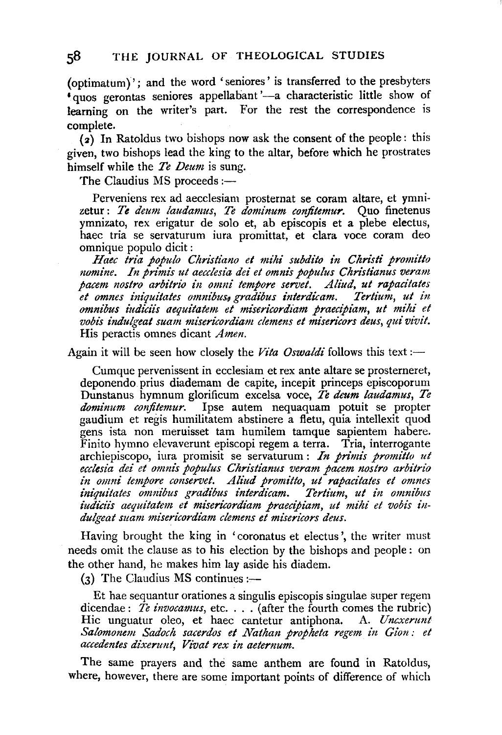(optimatum)'; and the word 'seniores' is transferred to the presbyters 1 quos gerontas seniores appellabant '-a characteristic little show of learning on the writer's part. For the rest the correspondence is complete.

 $\overline{z}$ ) In Ratoldus two bishops now ask the consent of the people: this given, two bishops lead the king to the altar, before which he prostrates himself while the *Te Deum* is sung.

The Claudius  $MS$  proceeds :—

Perveniens rex ad aecclesiam prosternat se coram altare, et ymnizetur : *Te deum laudamus, Te dominum conjitemur.* Quo finetenus ymnizato, rex erigatur de solo et, ab episcopis et a plebe electus, haec tria se servaturum iura promittat, et clara voce coram deo omnique populo dicit :

Haec tria populo Christiano et mihi subdito in Christi promitto nomine. In primis ut aecclesia dei et omnis populus Christianus veram *pacem nostro arbitrio in onmi tempore servet. Aliud, ut rapacitates et omnes iniquilates omnibus4 gradibus inlerdicam. Tertium, ut in*  omnibus iudiciis aequitatem et misericordiam praecipiam, ut mihi et vobis indulgeat suam misericordiam clemens et misericors deus, qui vivit. His peractis omnes dicant *Amen.* 

Again it will be seen how closely the *Vita Oswaldi* follows this text :-

Cumque pervenissent in ecclesiam et rex ante altare se prosterneret, deponendo prius diademam de capite, incepit princeps episcoporum Dunstanus hymnum glorificum excelsa voce, *Te deum laudamus, Te dominum conjitemur.* Ipse autem nequaquam potuit se propter gaudium et regis humilitatem abstinere a fletu, quia intellexit quod gens ista non meruisset tam humilem tamque sapientem habere. Finito hymno elevaverunt episcopi regem a terra. Tria, interrogante archiepiscopo, iura promisit se servaturum : *In primis promitto ut ecclesia dei et onmi's populus Christianus veram pacem nostro arbitrio in omni tempore conservet. Aliud promitto, ut rapacitates et omnes iniquitates omnibus gradibus interdicam. Tertium, ut in omnibus*  iudiciis aequitatem et misericordiam praecipiam, ut mihi et vobis indulgeat suam misericordiam clemens et misericors deus.

Having brought the king in 'coronatus et electus ', the writer must needs omit the clause as to his election by the bishops and people : on the other hand, he makes him lay aside his diadem.

 $(3)$  The Claudius MS continues :-

Et hae sequantur orationes a singulis episcopis singulae super regem dicendae: *Te invocamus*, etc. . . . (after the fourth comes the rubric) Hie unguatur oleo, et haec cantetur antiphona. A. *Uncxerunl*  Salomonem Sadoch sacerdos et Nathan propheta regem in Gion: et *accedentes dixerunt. Vivat rex in aeternum.* 

The same prayers and the same anthem are found in Ratoldus, where, however, there are some important points of difference of which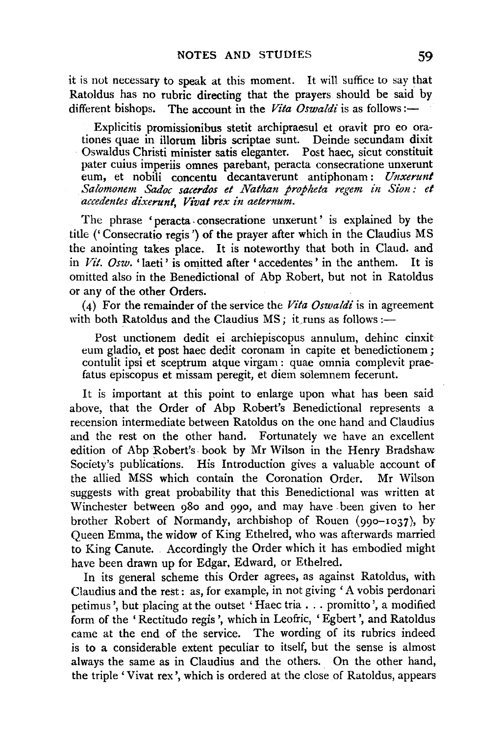it is not necessary to speak at this moment. It will suffice to say that Ratoldus has no rubric directing that the prayers should be said by different bishops. The account in the *Vita Oswaldi* is as follows :-

Explicitis promissionibus stetit archipraesul et oravit pro eo orationes quae in illorum libris scriptae sunt. Deinde secundam dixit Oswaldus Christi minister satis eleganter. Post haec, sicut constituit pater cuius imperiis omnes parebant, peracta consecratione unxerunt eum, et nobili concentu decantaverunt antiphonam : *Unxerunt*  Salomonem Sadoc sacerdos et Nathan propheta regem in Sion: et *accedentes dixerunt, Vivat rex in aeternum.* 

The phrase 'peracta. consecratione unxerunt' is explained by the title (' Consecratio regis') of the prayer after which in the Claudius MS the anointing takes place. It is noteworthy that both in Claud. and in *Vit. Osw.* 'laeti' is omitted after ' accedentes' in the anthem. It is omitted also in the Benedictional of Abp Robert, but not in Ratoldus or any of the other Orders.

(4) For the remainder of the service the *Vila Oswaldi* is in agreement with both Ratoldus and the Claudius  $MS$ ; it runs as follows :-

Post unctionem dedit ei archiepiscopus annulum, dehinc cinxit emn gladio, et post haec dedit coronam in capite et benedictionem ; contulit ipsi et sceptrum atque virgam : quae omnia complevit praefatus episcopus et missam peregit, et diem solemnem fecerunt.

It is important at this point to enlarge upon what has been said above, that the Order of Abp Robert's Benedictional represents a recension intermediate between Ratoldus on the one hand and Claudius and the rest on the other hand. Fortunately we have an excellent edition of Abp Robert's book by Mr Wilson in the Henry Bradshaw Society's publications. His Introduction gives a valuable account of the allied MSS which contain the Coronation Order. Mr Wilson suggests with great probability that this Benedictional was written at Winchester between 980 and 990, and may have been given to her brother Robert of Normandy, archbishop of Rouen (99o-1037), by Queen Emma, the widow of King Ethelred, who was afterwards married to King Canute. Accordingly the Order which it has embodied might have been drawn up for Edgar, Edward, or Ethelred.

In its general scheme this Order agrees, as against Ratoldus, with Claudius and the rest : as, for example, in not giving 'A vobis perdonari petimus ', but placing at the outset 'Haec tria ... promitto ', a modified form of the 'Rectitudo regis', which in Leofric, 'Egbert', and Ratoldus came at the end of the service. The wording of its rubrics indeed is to a considerable extent peculiar to itself, but the sense is almost always the same as in Claudius and the others. On the other hand, the triple 'Vivat rex', which is ordered at the close of Ratoldus, appears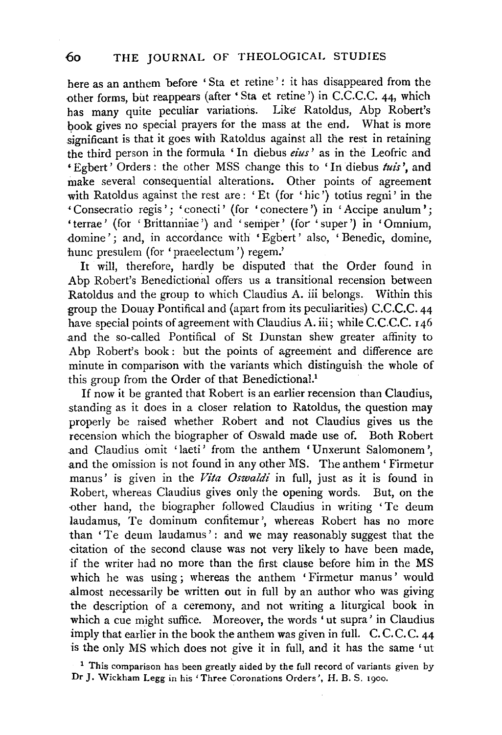here as an anthem before 'Sta et retine': it has disappeared from the other forms, but reappears (after 'Sta et retine') in C.C.C.C. 44, which has many quite peculiar variations. Like Ratoldus, Abp Robert's book gives no special prayers for the mass at the end. What is more significant is that it goes with Ratoldus against all the rest in retaining the third person in the formula ' In diebus *eius'* as in the Leofric and • Egbert ' Orders : the other MSS change this to ' In diebus *tuis* ', and make several consequential alterations. Other points of agreement with Ratoldus against the rest are: 'Et (for 'hic') totius regni' in the 'Consecratio regis'; 'conecti' (for 'conectere ') in 'Accipe anulum '; 'terrae' (for 'Brittanniae') and 'semper' (for 'super') in 'Omnium, domine'; and, in accordance with 'Egbert' also, 'Benedic, domine, hunc presulem (for 'praeelectum ') regem.'

It will, therefore, hardly be disputed that the Order found in Abp Robert's Benedictional offers us a transitional recension between Ratoldus and the group to which Claudius A. iii belongs. Within this group the Douay Pontifical and (apart from its peculiarities) C.C.C.C. 44 have special points of agreement with Claudius A. iii; while C.C.C.C. 146 and the so-called Pontifical of St Dunstan shew greater affinity to Abp Robert's book : but the points of agreement and difference are minute in comparison with the variants which distinguish the whole of this group from the Order of that Benedictional.<sup>1</sup>

If now it be granted that Robert is an earlier recension than Claudius, standing as it does in a closer relation to Ratoldus, the question may properly be raised whether Robert and not Claudius gives us the recension which the biographer of Oswald made use of. Both Robert and Claudius omit 'laeti' from the anthem 'Unxerunt Salomonem ', and the omission is not found in any other MS. The anthem ' Firmetur manus' is given in the *Vita Oswaldi* in full, just as it is found in Robert, whereas Claudius gives only the opening words. But, on the ·other hand, the biographer followed Claudius in writing 'Te deum laudamus, Te dominum confitemur', whereas Robert has no more than 'Te deum laudamus': and we may reasonably suggest that the -citation of the second clause was not very likely to have been made, if the writer had no more than the first clause before him in the MS which he was using; whereas the anthem 'Firmetur manus' would almost necessarily be written out in full by an author who was giving the description of a ceremony, and not writing a liturgical book in which a cue might suffice. Moreover, the words 'ut supra' in Claudius imply that earlier in the book the anthem was given in full. C.C.C.C. 44 is the only MS which does not give it in full, and it has the same 'ut

<sup>&</sup>lt;sup>1</sup> This comparison has been greatly aided by the full record of variants given by Dr J. Wickham Legg in his 'Three Coronations Orders', H. B. S. 1900.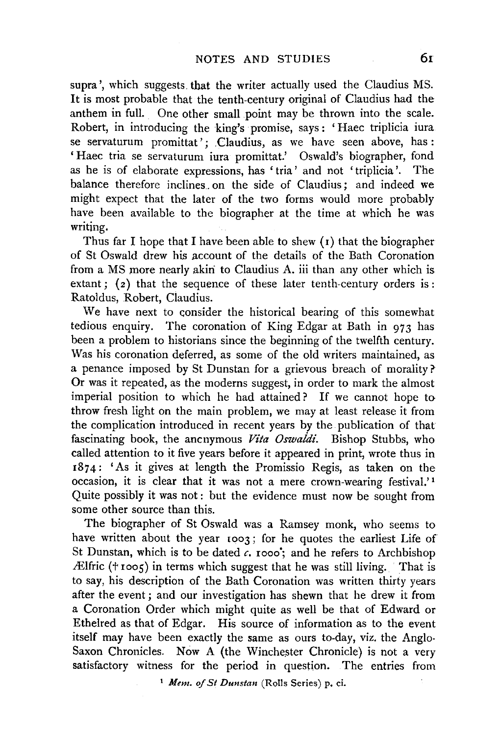supra', which suggests. that the writer actually used the Claudius MS. It is most probable that the tenth-century original of Claudius had the anthem in full. One other small point may be thrown into the scale. Robert, in introducing the king's promise, says : 'Haec triplicia iura se servaturum promittat': Claudius, as we have seen above, has: 'Haec tria se servaturum iura promittat.' Oswald's biographer, fond as he is of elaborate expressions, has 'tria' and not 'triplicia '. The balance therefore inclines on the side of Claudius: and indeed we might expect that the later of the two forms would more probably have been available to the biographer at the time at which he was writing.

Thus far I hope that I have been able to shew  $(1)$  that the biographer of St Oswald drew his account of the details of the Bath Coronation from a MS more nearly akiri to Claudius A. iii than any other which is extant; ( $2$ ) that the sequence of these later tenth-century orders is: Ratoldus, Robert, Claudius.

We have next to consider the historical bearing of this somewhat tedious enquiry. The coronation of King Edgar at Bath in 973 has been a problem to historians since the beginning of the twelfth century. Was his coronation deferred, as some of the old writers maintained, as a penance imposed by St Dunstan for a grievous breach of morality? Or was it repeated, as the modems suggest, in order to mark the almost imperial position to which he had attained? If we cannot hope to throw fresh light on the main problem, we may at least release it from the complication introduced in recent years by the publication of that fascinating book, the ancnymous *Vita Oswaidi.* Bishop Stubbs, who called attention to it five years before it appeared in print, wrote thus in 1874: 'As it gives at length the Promissio Regis, as taken on the occasion, it is clear that it was not a mere crown-wearing festival.'<sup>1</sup> Quite possibly it was not : but the evidence must now be sought from some other source than this.

The biographer of St Oswald was a Ramsey monk, who seems to have written about the year 1003; for he quotes the earliest Life of St Dunstan, which is to be dated  $c$ . 1000; and he refers to Archbishop Ælfric ( $t$  1005) in terms which suggest that he was still living. That is to say, his description of the Bath Coronation was written thirty years after the event ; and our investigation has shewn that he drew it from a Coronation Order which might quite as well be that of Edward or Ethelred as that of Edgar. His source of information as to the event itself may have been exactly the same as ours to-day, viz. the Anglo-Saxon Chronicles. Now A (the Winchester Chronicle) is not a very satisfactory witness for the period in question. The entries from

1 *Mem. of St Dunstan* (Rolls Series) p. ci.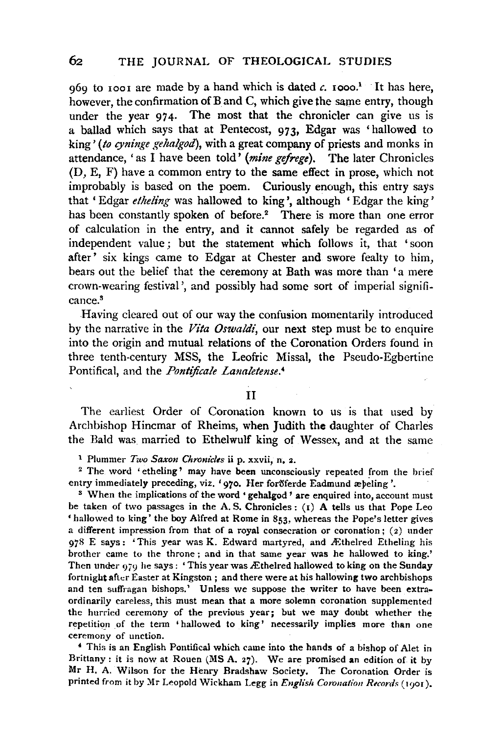969 to 1001 are made by a hand which is dated  $c$ , 1000.<sup>1</sup> It has here, however, the confirmation of B and C, which give the same entry, though under the year 974. The most that the chronicler can give us is a ballad which says that at Pentecost, 973, Edgar was 'hallowed to king' *(to cyninge gehalgod),* with a great company of priests and monks in attendance, 'as I have been told' *(mine gefrege).* The later Chronicles (D, E, F) have a common entry to the same effect in prose, which not improbably is based on the poem. Curiously enough, this entry says that 'Edgar *etheling* was hallowed to king', although ' Edgar the king' has been constantly spoken of before.<sup>2</sup> There is more than one error of calculation in the entry, and it cannot safely be regarded as of independent value; but the statement which follows it, that 'soon after' six kings came to Edgar at Chester and swore fealty to him, bears out the belief that the ceremony at Bath was more than 'a mere crown-wearing festival', and possibly had some sort of imperial significance.<sup>3</sup>

Having cleared out of our way the confusion momentarily introduced by the narrative in the *Vita Oswaldi,* our next step must be to enquire into the origin and mutual relations of the Coronation Orders found in three tenth-century MSS, the Leofric Missal, the Pseudo-Egbertine Pontifical, and the *Pontificale Lanaletense.4* 

II

The earliest Order of Coronation known to us is that used by Archbishop Hincmar of Rheims, when Judith the daughter of Charles the Bald was married to Ethelwulf king of Wessex, and at the same

<sup>1</sup> Plummer *Two Saxon Chronicles* ii p. xxvii, n. 2.

<sup>2</sup> The word 'etheling' may have been unconsciously repeated from the brief entry immediately preceding, viz. '970. Her foroferde Eadmund æpeling'.

<sup>3</sup> When the implications of the word 'gehalgod' are enquired into, account must be taken of two passages in the A. S. Chronicles : (I) A tells us that Pope Leo 'hallowed to king' the boy Alfred at Rome in 853, whereas the Pope's letter gives a different impression from that of a royal consecration or coronation; (2) under  $978$  E says: 'This year was K. Edward martyred, and Æthelred Etheling his brother came to the throne; and in that same year was he hallowed to king.' Then under  $979$  he says: 'This year was Æthelred hallowed to king on the Sunday fortnight after Easter at Kingston ; and there were at his hallowing two archbishops and ten suffragan bishops.' Unless we suppose the writer to have been extraordinarily careless, this must mean that a more solemn coronation supplemented the hurried ceremony of the previous year; but we may doubt whether the repetition of the term 'hallowed to king' necessarily implies more than one

ceremony of unction. 4 This is an English Pontifical which came into the hands of a bishop of Alet in Brittany: it is now at Rouen (MS A. 27). We are promised an edition of it by Mr H. A. Wilson for the Henry Bradshaw Society. The Coronation Order is printed from it by Mr Leopold Wickham Legg in *English Coronation Records* (1901).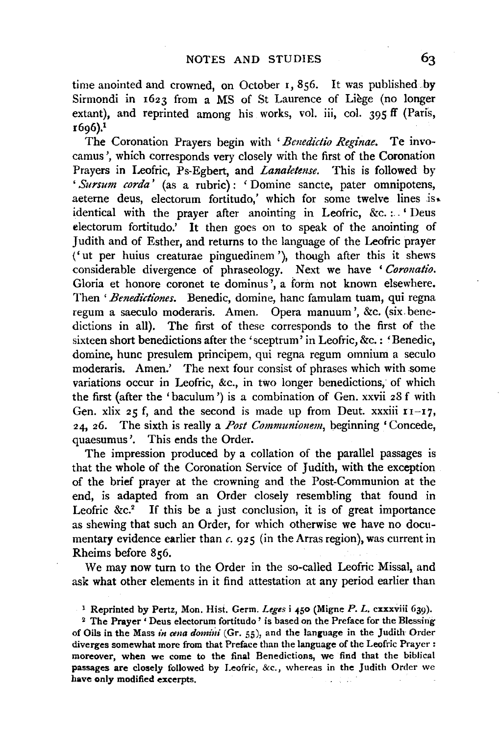time anointed and crowned, on October 1, 856. It was published by Sirmondi in 1623 from a MS of St Laurence of Liege (no longer extant), and reprinted among his works, vol. iii, col. 395 ff (Paris,  $1696$ .

The Coronation Prayers begin with *'Benedidio Reginae.* Te invocamus ', which corresponds very closely with the first of the Coronation Prayers in Leofric, Ps-Egbert, and *Lanaletense.* This is followed by *'Sursum corda'* (as a rubric) : ' Domine sancte, pater omnipotens, aeterne deus, electorum fortitudo,' which for some twelve lines is. identical with the prayer after anointing in Leofric, &c. : 'Deus electorum fortitudo.' It then goes on to speak of the anointing of Judith and of Esther, and returns to the language of the Leofric prayer ('ut per huius creaturae pinguedinem '), though after this it shews considerable divergence of phraseology. Next we have 'Coronatio. Gloria et honore coronet te dominus', a form not known elsewhere. Then ' *Benedictiones.* Benedic, domine, banc famulam tuam, qui regna regum a saeculo moderaris. Amen. Opera manuum ', &c. (six. benedictions in all). The first of these corresponds to the first of the sixteen short benedictions after the 'sceptrum' in Leofric, &c. : 'Benedic, domine, hunc presulem principem, qui regna regum omnium a seculo moderaris. Amen.' The next four consist of phrases which with some variations occur in Leofric, &c., in two longer benedictions, of which the first (after the 'baculum') is a combination of Gen. xxvii 28 f with Gen. xlix 25 f, and the second is made up from Deut. xxxiii  $r_1-r_7$ , 24, 26. The sixth is really a *Post Communionem,* beginning 'Concede, quaesumus'. This ends the Order.

The impression produced by a collation of the parallel passages is that the whole of the Coronation Service of Judith, with the exception of the brief prayer at the crowning and the Post-Communion at the end, is adapted from an Order closely resembling that found in Leofric  $\&c^2$ . If this be a just conclusion, it is of great importance as shewing that such an Order, for which otherwise we have no documentary evidence earlier than  $c$ ,  $925$  (in the Arras region), was current in Rheims before 856.

We may now turn to the Order in the so-called Leofric Missal, and ask what other elements in it find attestation at any period earlier than

<sup>2</sup> The Prayer ' Deus electorum fortitudo' is based on the Preface for the Blessing of Oils in the Mass in cena domini (Gr. 55), and the language in the Judith Order diverges somewhat more from that Preface than the language of the Leofric Prayer : moreover, when we come to the final Benedictions, we find that the biblical passages are closely followed by I.eofric, &c., whereas in the Judith Order we have only modified excerpts.

<sup>&</sup>lt;sup>1</sup> Reprinted by Pertz, Mon. Hist. Germ. *Leges i* 450 (Migne *P. L. cxxxviii 639)*.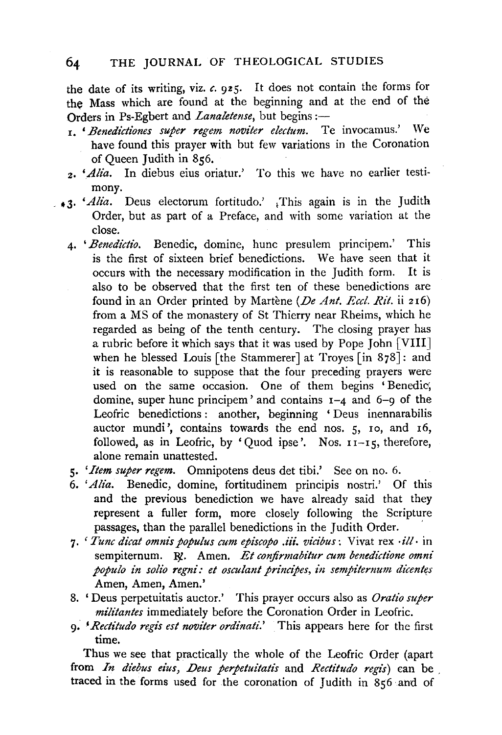## 64 THE JOURNAL OF THEOLOGICAL STUDIES

the date of its writing, viz.  $c$ .  $925$ . It does not contain the forms for the Mass which are found at the beginning and at the end of the Orders in Ps-Egbert and *Lanaletense*, but begins:—

- 1. *' Benedictiones super regem noviter electum*. Te invocamus.' We have found this prayer with but few variations in the Coronation of Oueen Judith in 856.
- 2• *'Alia.* In diebus eius oriatur.' To this we have no earlier testimony.
- 3. *Alia*. Deus electorum fortitudo.' This again is in the Judith Order, but as part of a Preface, and with some variation at the close.
	- 4· *'Benedictio.* Benedic, domine, hunc presulem principem.' This is the first of sixteen brief benedictions. We have seen that it occurs with the necessary modification in the Judith form. It is also to be observed that the first ten of these benedictions are found in an Order printed by Martene *(De Ant. Eccl. Rit.* ii 216) from a MS of the monastery of St Thierry near Rheims, which he regarded as being of the tenth century. The closing prayer has a rubric before it which says that it was used by Pope John [VIII] when he blessed Louis [the Stammerer] at Troyes [in 878]: and it is reasonable to suppose that the four preceding prayers were used on the same occasion. One of them begins 'Benedic, domine, super hunc principem' and contains 1-4 and 6-9 of the Leofric benedictions : another, beginning ' Deus inennarabilis auctor mundi', contains towards the end nos. 5, 10, and 16. followed, as in Leofric, by 'Quod ipse'. Nos.  $11-15$ , therefore, alone remain unattested.
	- 5· *'Item super regem.* Omnipotens deus det tibi.' See on no. 6.
	- 6. *'Alia.* Benedic, domine, fortitudinem principis nostri.' Of this and the previous benediction we have already said that they represent a fuller form, more closely following the Scripture passages, than the parallel benedictions in the Judith Order.
	- 7. ' *Tunc die at omnis populus cum episcopo* .iii. *vicibus* : Vi vat rex *·ill·* in sempiternum.  $\overrightarrow{R}$ . Amen. *Et confirmabitur cum benedictione omni populo in solio regni: et osculant principes, in sempiternum dicentqs*  Amen, Amen, Amen.'
	- 8. 'Deus perpetuitatis auctor.' This prayer occurs also as *Oratio super militantes* immediately before the Coronation Order in Leofric.
	- 9· *'Rectitudo regis est noviter ordinati.'* This appears here for the first time.

Thus we see that practically the whole of the Leofric Order (apart from *In diebus eius, Deus perpetuitatis* and *Rectitudo regis)* can be . traced in the forms used for the coronation of Judith in 856 and of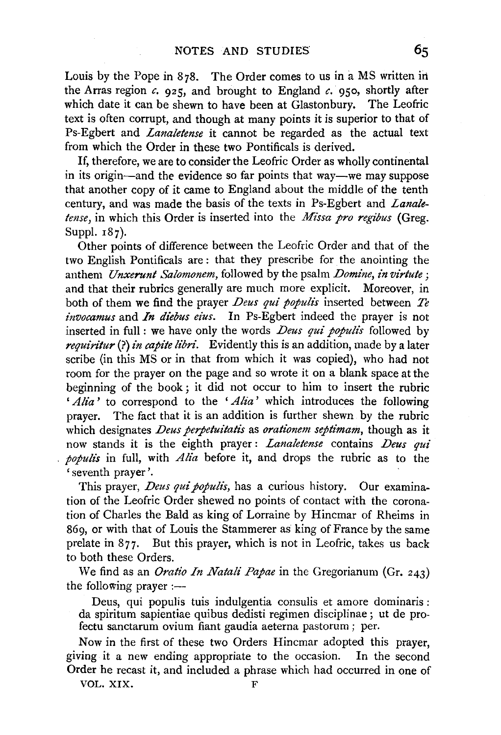Louis by the Pope in 878. The Order comes to us in a MS written in the Arras region *c.* 925, and brought to England *c.* 950, shortly after which date it can be shewn to have been at Glastonbury. The Leofric text is often corrupt, and though at many points it is superior to that of Ps-Egbert and *Lanaletense* it cannot be regarded as the actual text from which the Order in these two Pontificals is derived.

If, therefore, we are to consider the Leofric Order as wholly continental in its origin—and the evidence so far points that way—we may suppose that another copy of it came to England about the middle of the tenth century, and was made the basis of the texts in Ps-Egbert and *Lanaletense,* in which this Order is inserted into the *Missa pro regibus* (Greg. Suppl. 187).

Other points of difference between the Leofric Order and that of the two English Pontificals are : that they prescribe for the anointing the anthem *Unxerunt Salomonem,* followed by the psalm *Domine, in virtute* ; and that their rubrics generally are much more explicit. Moreover, in both of them we find the prayer *Deus qui populis* inserted between *Te invocamus* and *In diebus eius*. In Ps-Egbert indeed the prayer is not inserted in full : we have only the words *Deus qui populis* followed by *requiritur* (?) *in capite libri*. Evidently this is an addition, made by a later scribe (in this MS or in that from which it was copied), who had not room for the prayer on the page and so wrote it on a blank space at the beginning of the book ; it did not occur to him to insert the rubric *'Alia* ' to correspond to the *'Alia'* which introduces the following prayer. The fact that it is an addition is further shewn by the rubric which designates *Deus perpetuitatis* as *orationem septimam*, though as it now stands it is the eighth prayer : *Lanaletense* contains *Deus qui*  , *populzs* in full, with *Alia* before it, and drops the rubric as to the ' seventh prayer'.

This prayer, *Deus qui populis*, has a curious history. Our examination of the Leofric Order shewed no points of contact with the coronation of Charles the Bald as king of Lorraine by Hincmar of Rheims in 869, or with that of Louis the Stammerer as king of France by the same prelate in 877. But this prayer, which is not in Leofric, takes us back to both these Orders.

We find as an *Oratio In Natali Papae* in the Gregorianum (Gr. 243) the following prayer  $:--$ 

Deus, qui populis tuis indulgentia consulis et amore dominaris : da spiritum sapientiae quibus dedisti regimen disciplinae; ut de profectu sanctarum avium fiant gaudia aeterna pastorum ; per.

Now in the first of these two Orders Hincmar adopted this prayer, giving it a new ending appropriate to the occasion. In the second Order he recast it, and included a phrase which had occurred in one of

VOL. XIX. F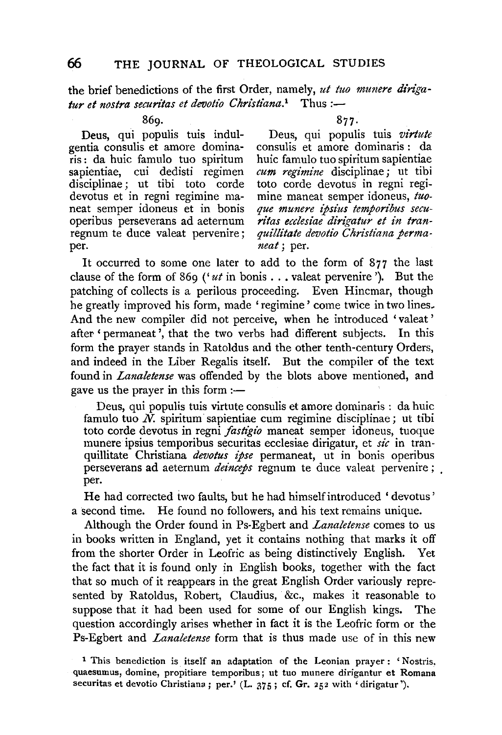the brief benedictions of the first Order, namely, *ut tuo munere dirigatur et nostra securitas et devolio Christiana.* <sup>1</sup> Thus:—

Deus, qui populis tuis indul- Deus, qui populis tuis *virtute*  gentia consulis et amore domina- consulis et amore dominaris : da ris : da huic famulo tuo spiritum huic famulo tuo spiritum sapientiae sapientiae, cui dedisti regimen *cum regimine* disciplinae; ut tibi disciplinae ; ut tibi toto corde toto corde devotus in regni regidevotus et in regni regimine ma- mine maneat semper idoneus, *tuo*neat semper idoneus et in bonis *que munere ipsius temporibus secu*operibus perseverans ad aeternum *n"tas ecclesiae dirigatur et in tran*regnum te duce valeat pervenire; quillitate a<br>per.<br>*neat*; per.

 $60.$  877.

regnum te duce valeat pervenire; *quillitate devotio Christiana perma-*

It occurred to some one later to add to the form of 877 the last clause of the form of 869 *('ut* in bonis . . . valeat pervenire '). But the patching of collects is a perilous proceeding. Even Hincmar, though he greatly improved his form, made 'regimine' come twice in two lines. And the new compiler did not perceive, when he introduced 'valeat' after 'permaneat ', that the two verbs had different subjects. In this form the prayer stands in Ratoldus and the other tenth-century Orders, and indeed in the Liber Regalis itself. But the compiler of the text found in *Lanaletense* was offended by the blots above mentioned, and gave us the prayer in this form  $:$   $-$ 

Deus, qui populis tuis virtute consulis et amore dominaris : da huic famulo tuo  $\overline{N}$  spiritum sapientiae cum regimine disciplinae; ut tibi toto corde devotus in regni *fastigio* maneat semper idoneus, tuoque munere ipsius temporibus securitas ecclesiae dirigatur, et *szc* in tranquillitate Christiana *devotus ipse* permaneat, ut in bonis operibus perseverans ad aeternum *deinceps* regnum te duce valeat pervenire ; . per.

He had corrected iwo faults, but he had himself introduced 'devotus' a second time. He found no followers, and his text remains unique.

Although the Order found in Ps-Egbert and *Lanaletense* comes to us in books written in England, yet it contains nothing that marks it off from the shorter Order in Leofric as being distinctively English. Yet the fact that it is found only in English books, together with the fact that so much of it reappears in the great English Order variously represented by Ratoldus, Robert, Claudius, &c., makes it reasonable to suppose that it had been used for some of our English kings. The question accordingly arises whether in fact it is the Leofric form or the Ps-Egbert and *Lanaletense* form that is thus made use of in this new

<sup>1</sup> This benediction is itself an adaptation of the Leonian prayer: 'Nostris, quaesumus, domine, propitiare temporibus; ut tuo munere dirigantur et Romana securitas et devotio Christiana; per.' (L.  $375$ ; cf. Gr. 252 with 'dirigatur").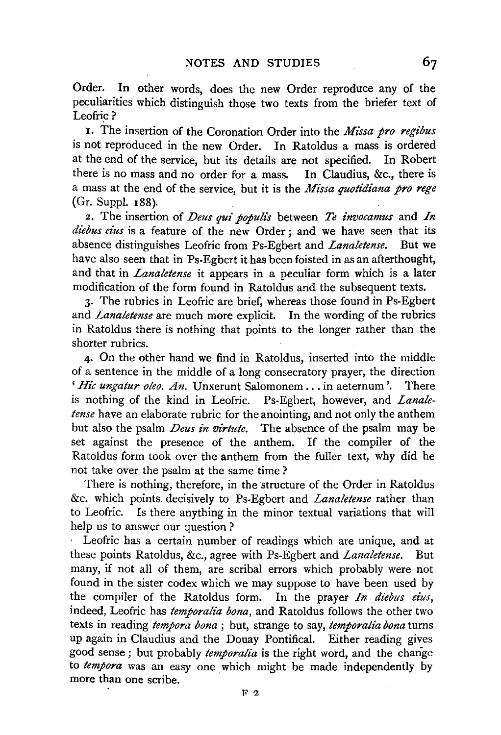Order. In other words, does the new Order reproduce any of the peculiarities which distinguish those two texts from the briefer text of Leofric?

I. The insertion of the Coronation Order into the *Missa pro regibus*  is not reproduced in the new Order. In Ratoldus a mass is ordered at the end of the service, but its details are not specified. In Robert there is no mass and no order for a mass. In Claudius, &c., there is a mass at the end of the service, but it is the *Missa quotidiana pro rege*   $(Gr. Suppl. 188).$ 

2. The insertion of *Deus qui popult's* between *Te invocamus* and *In diebus eius* is a feature of the new Order ; and we have seen that its absence distinguishes Leofric from Ps-Egbert and *Lanaletense.* But we have also seen that in Ps-Egbert it has been foisted in as an afterthought, and that in *Lanaletense* it appears in a peculiar form which is a later modification of the form found in Ratoldus and the subsequent texts.

3· The rubrics in Leofric are brief, whereas those found in Ps-Egbert and *Lanaletense* are much more explicit. In the wording of the rubrics in Ratoldus there is nothing that points to the longer rather than the shorter rubrics.

4· On the other hand we find in Ratoldus, inserted into the middle of a sentence in the middle of a long consecratory prayer, the direction *'Hic ungatur oleo. An.* Unxerunt Salomonem ... in aeternum'. There is nothing of the kind in Leofric. Ps-Egbert, however, and *Lanaletense* have an elaborate rubric for the anointing, and not only the anthem but also the psalm *Deus in virtute.* The absence of the psalm may be set against the presence of the anthem. If the compiler of the Ratoldus form took over the anthem from the fuller text, why did he not take over the psalm at the same time ?

There is nothing, therefore, in the structure of the Order in Ratoldus &c. which points decisively to Ps-Egbert and *Lanaletense* rather than to Leofric. Is there anything in the minor textual variations that will help us to answer our question ?

· Leofric has a certain number of readings which are unique, and at these points Ratoldus, &c., agree with Ps-Egbert and *Lanaletense.* But many, if not all of them, are scribal errors which probably were not found in the sister codex which we may suppose to have been used by the compiler of the Ratoldus form. In the prayer *In diebus eius,*  indeed, Leofric has *temporalia bona*, and Ratoldus follows the other two texts in reading *tempora bona* ; but, strange to say, *temporalia bona* turns up again in Claudius and the Douay Pontifical. Either reading gives good sense; but probably *temporalia* is the right word, and the change to *tempora* was an easy one which might be made independently by more than one scribe.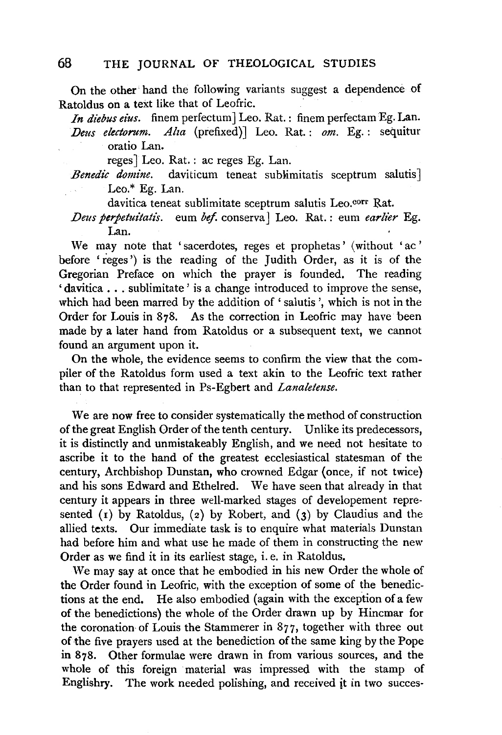### 68 THE JOURNAL OF THEOLOGICAL STUDIES

On the other hand the following variants suggest a dependence of Ratoldus on a text like that of Leofric.

*In diebus eius.* finem perfectum] Leo. Rat.: finem perfectam Eg. Lan. *Deus electorum. Alza* (prefixed)] Leo. Rat.: *onz.* Eg.: sequitur oratio Lan.

reges J Leo. Rat. : ac reges Eg. Lan.

*Benedic domine.* daviticum teneat sublimitatis sceptrum salutis] Leo.\* Eg. Lan.

davitica teneat sublimitate sceptrum salutis Leo.corr Rat.

*Deus perpetuitatis.* eum *bef.* conserva] Leo. Rat. : eum *earlier* Eg. Lan.

We may note that 'sacerdotes, reges et prophetas' (without 'ac' before 'reges ') is the reading of the Judith Order, as it is of the Gregorian Preface on which the prayer is founded. The reading 'davitica . . . sublimitate' is a change introduced to improve the sense, which had been marred by the addition of 'salutis', which is not in the Order for Louis in 878. As the correction in Leofric may have been made by a later hand from Ratoldus or a subsequent text, we cannot found an argument upon it.

On the whole, the evidence seems to confirm the view that the compiler of the Ratoldus form used a text akin to the Leofric text rather than to that represented in Ps-Egbert and *Lanaletense.* 

We are now free to consider systematically the method of construction of the great English Order of the tenth century. Unlike its predecessors, it is distinctly and unmistakeably English, and we need not hesitate to ascribe it to the hand of the greatest ecclesiastical statesman of the century, Archbishop Dunstan, who crowned Edgar (once, if not twice) and his sons Edward and Ethelred. We have seen that already in that century it appears in three well-marked stages of developement represented  $(r)$  by Ratoldus,  $(z)$  by Robert, and  $(3)$  by Claudius and the allied texts. Our immediate task is to enquire what materials Dunstan had before him and what use he made of them in constructing the new Order as we find it in its earliest stage, i. e. in Ratoldus.

We may say at once that he embodied in his new Order the whole of the Order found in Leofric, with the exception of some of the benedictions at the end. He also embodied (again with the exception of a few of the benedictions) the whole of the Order drawn up by Hincmar for the coronation of Louis the Stammerer in 877, together with three out of the five prayers used at the benediction of the same king by the Pope in 878. Other formulae were drawn in from various sources, and the whole of this foreign material was impressed with the stamp of Englishry. The work needed polishing, and received it in two succes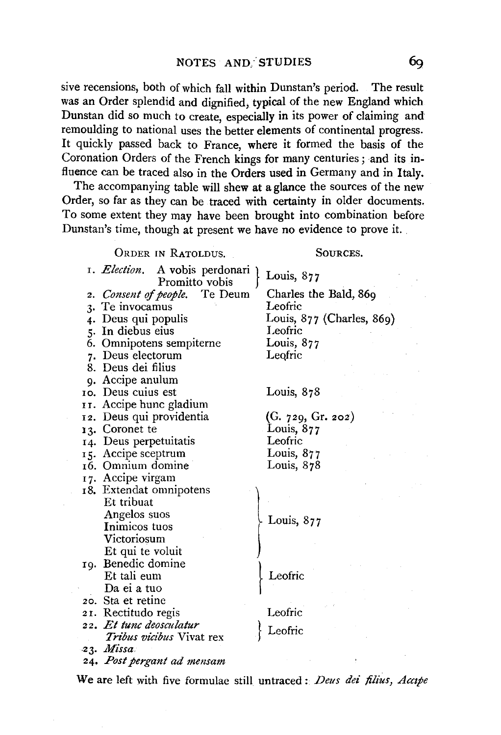sive recensions, both of which fall within Dunstan's period. The result was an Order splendid and dignified, typical of the new England which Dunstan did so much to create, especially in its power of claiming and remoulding to national uses the better elements of continental progress. It quickly passed back to France, where it formed the basis of the Coronation Orders of the French kings for many centuries ; and its influence can be traced also in the Orders used in Germany and in Italy.

The accompanying table will shew at a glance the sources of the new Order, so far as they can be traced with certainty in older documents. To some extent they may have been brought into combination before Dunstan's time, though at present we have no evidence to prove it.

ORDER IN RATOLDUS. SOURCES.

| 1. Election.<br>A vobis perdonari<br>Promitto vobis | Louis, $877$              |
|-----------------------------------------------------|---------------------------|
| 2. Consent of people. Te Deum                       | Charles the Bald, 869     |
| 3. Te invocamus                                     | Leofric                   |
| 4. Deus qui populis                                 | Louis, 877 (Charles, 869) |
| 5. In diebus eius                                   | Leofric                   |
| 6. Omnipotens sempiterne                            | Louis, $877$              |
| 7. Deus electorum                                   | Leofric                   |
| 8. Deus dei filius                                  |                           |
| 9. Accipe anulum                                    |                           |
| 10. Deus cuius est                                  | Louis, 878                |
| II. Accipe hunc gladium                             |                           |
| 12. Deus qui providentia                            | (G. 729, Gr. 202)         |
| 13. Coronet te                                      | Louis, $877$              |
| 14. Deus perpetuitatis                              | Leofric                   |
| 15. Accipe sceptrum                                 | Louis, $877$              |
| 16. Omnium domine                                   | Louis, 878                |
| 17. Accipe virgam                                   |                           |
| 18. Extendat omnipotens                             |                           |
| Et tribuat                                          |                           |
| Angelos suos                                        | Louis, $877$              |
| Inimicos tuos                                       |                           |
| Victoriosum                                         |                           |
| Et qui te voluit                                    |                           |
| 19. Benedic domine                                  |                           |
| Et tali eum                                         | Leofric                   |
| Da ei a tuo                                         |                           |
| 20. Sta et retine                                   |                           |
| 21. Rectitudo regis                                 | Leofric                   |
| 22. Et tunc deosculatur                             | Leofric                   |
| <i>Tribus vicibus</i> Vivat rex                     |                           |
| 23. Missa                                           |                           |
| 24. Post pergant ad mensam                          |                           |

We are left with five formulae still untraced: *Deus dei filius, Accape*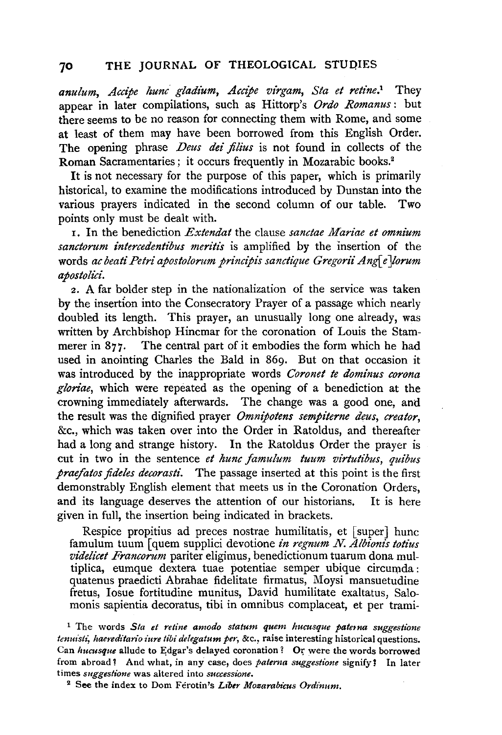#### *JO* **THE** JOURNAL OF THEOLOGICAL STUQIES

*anulum, Accipe hunc gladium, Acdpe virgam, Sta et retine.*<sup>1</sup>They appear in later compilations, such as Hittorp's *Ordo Romanus:* but there seems to be no reason for connecting them with Rome, and some at least of them may have been borrowed from this English Order. The opening phrase *Deus dei filius* is not found in collects of the Roman Sacramentaries; it occurs frequently in Mozarabic books.2

It is not necessary for the purpose of this paper, which is primarily historical, to examine the modifications introduced by Dunstan into the various prayers indicated in the second column of our table. Two points only must be dealt with.

1. In the benediction *Extendat* the clause *sanctae Man·ae et omnium sanctorum intercedentibus meritis* is amplified by the insertion of the words *ac beati Petn' apostolontm principis sanctique Gregorii Ang[e ]lorum apostoHci.* 

2. A far bolder step in the nationalization of the service was taken by the insertion into the Consecratory Prayer of a passage which nearly doubled its length. This prayer, an unusually long one already, was written by Archbishop Hincmar for the coronation of Louis the Stammerer in 877. The central part of it embodies the form which he had used in anointing Charles the Bald in 869. But on that occasion it was introduced by the inappropriate words *Coronet te dominus corona gloriae,* which were repeated as the opening of a benediction at the crowning immediately afterwards. The change was a good one, and the result was the dignified prayer *Omnipotens sempiterne deus, creator,*  &c., which was taken over into the Order in Ratoldus, and thereafter had a long and strange history. In the Ratoldus Order the prayer is cut in two in the sentence *et hunc famulum tuum virtutibus, quibus praefatos fideles decorasti.* The passage inserted at this point is the first demonstrably English element that meets us in the Coronation Orders, and its language deserves the attention of our historians. It is here given in full, the insertion being indicated in brackets.

Respice propitius ad preces nostrae humilitatis, et [super] hunc famulum tuum [quem supplici devotione *in regnum N. Albionis totius videlicet Francorum* pariter eligimus, benedictionum tuarum dona multiplica, eumque dextera tuae potentiae semper ubique circumda: quatenus praedicti Abrahae fidelitate firmatus, Moysi mansuetudine fretus, Iosue fortitudine munitus, David humilitate exaltatus, Salomonis sapientia decoratus, tibi in omnibus complaceat, et per trami-

1 The words *Sta et refine amodo statum quem hucusque patema suggestione tenuisti, haereditario iure tibi delegatum per, &c., raise interesting historical questions.* Can *hucusque* allude to Edgar's delayed coronation ? Or were the words borrowed from abroad! And what, in any case, does *paterna suggestione* signify *1* In later times *suggestione* was altered into *successione.* 

<sup>2</sup> See the index to Dom Ferotin's *Liber Mosarabicus Ordinum*.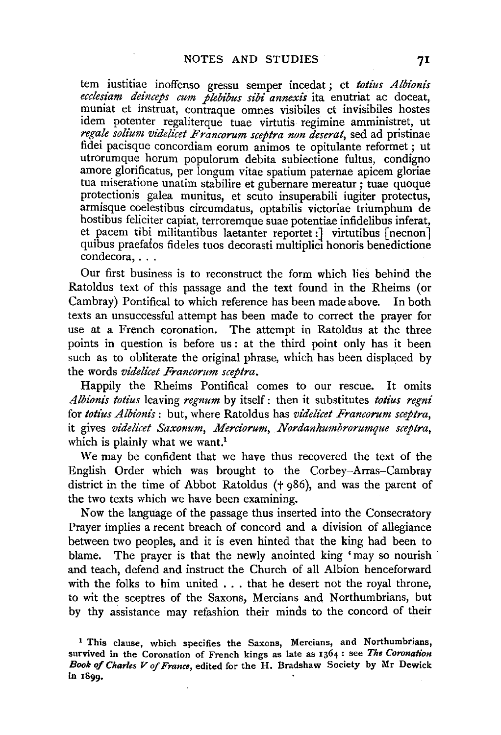tern iustitiae inoffenso gressu semper incedat ; et *totius Albionis*  ecclesiam deinceps cum plebibus sibi annexis ita enutriat ac doceat, muniat et instruat, contraque omnes visibiles et invisibiles hostes idem potenter regaliterque tuae virtutis regimine amministret, ut *regale solium videlicet Francorum sceptra non deserat,* sed ad pristinae fidei pacisque concordiam eorum animos te opitulante reformet ; ut utrorumque horum populorum debita subiectione fultus, condigno amore glorificatus, per longum vitae spatium paternae apicem gloriae tua miseratione unatim stabilire et gubernare mereatur; tuae quoque protectionis galea munitus, et scuto insuperabili iugiter protectus, armisque coelestibus circumdatus, optabilis victoriae triumphum de hostibus feliciter capiat, terroremque suae potentiae infidelibus inferat, et pacem tibi militantibus laetanter reportet : virtutibus [necnon] quibus praefatos fideles tuos decorasti multiplici honoris benedictione condecora, ...

Our first business is to reconstruct the form which lies behind the Ratoldus text of this passage and the text found in the Rheims (or Cam bray) Pontifical to which reference has been made above. In both texts an unsuccessful attempt has been made to correct the prayer for use at a French coronation. The attempt in Ratoldus at the three points in question is before us : at the third point only has it been such as to obliterate the original phrase, which has been displaced by the words *videlicet Francorum sceptra*.

Happily the Rheims Pontifical comes to our rescue. It omits *Albionis totius* leaving *regnum* by itself: then it substitutes *totius regni*  for *totius Albionz's* : but, where Ratoldus has *videlicet Francorum sceptra,*  it gives *videlicet Saxonum, Merciorum, Nordanhumbrorumque sceptra,*  which is plainly what we want.<sup>1</sup>

We may be confident that we have thus recovered the text of the English Order which was brought to the Corbey-Arras-Cambray district in the time of Abbot Ratoldus  $(+ 986)$ , and was the parent of the two texts which we have been examining.

Now the language of the passage thus inserted into the Consecratory Prayer implies a recent breach of concord and a division of allegiance between two peoples, and it is even hinted that the king had been to blame. The prayer is that the newly anointed king 'may so nourish ` and teach, defend and instruct the Church of all Albion henceforward with the folks to him united  $\ldots$  that he desert not the royal throne, to wit the sceptres of the Saxons, Mercians and Northumbrians, but by thy assistance may refashion their minds to the concord of their

<sup>1</sup> This clause, which specifies the Saxons, Mercians, and Northumbrians, survived in the Coronation of French kings as late as 1364: see *The Coronation Book of Charles V of France,* edited for the H. Bradshaw Society by Mr Dewick in 1899.